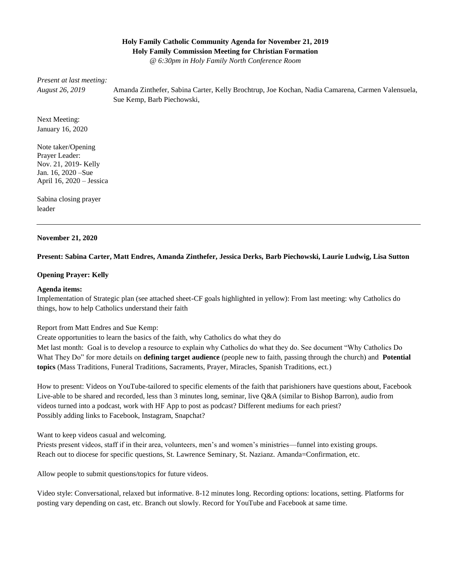### **Holy Family Catholic Community Agenda for November 21, 2019 Holy Family Commission Meeting for Christian Formation**

*@ 6:30pm in Holy Family North Conference Room*

*Present at last meeting:* 

*August 26, 2019*

Amanda Zinthefer, Sabina Carter, Kelly Brochtrup, Joe Kochan, Nadia Camarena, Carmen Valensuela, Sue Kemp, Barb Piechowski,

Next Meeting: January 16, 2020

Note taker/Opening Prayer Leader: Nov. 21, 2019- Kelly Jan. 16, 2020 –Sue April 16, 2020 – Jessica

Sabina closing prayer leader

#### **November 21, 2020**

#### **Present: Sabina Carter, Matt Endres, Amanda Zinthefer, Jessica Derks, Barb Piechowski, Laurie Ludwig, Lisa Sutton**

#### **Opening Prayer: Kelly**

#### **Agenda items:**

Implementation of Strategic plan (see attached sheet-CF goals highlighted in yellow): From last meeting: why Catholics do things, how to help Catholics understand their faith

Report from Matt Endres and Sue Kemp:

Create opportunities to learn the basics of the faith, why Catholics do what they do

Met last month: Goal is to develop a resource to explain why Catholics do what they do. See document "Why Catholics Do What They Do" for more details on **defining target audience** (people new to faith, passing through the church) and **Potential topics** (Mass Traditions, Funeral Traditions, Sacraments, Prayer, Miracles, Spanish Traditions, ect.)

How to present: Videos on YouTube-tailored to specific elements of the faith that parishioners have questions about, Facebook Live-able to be shared and recorded, less than 3 minutes long, seminar, live Q&A (similar to Bishop Barron), audio from videos turned into a podcast, work with HF App to post as podcast? Different mediums for each priest? Possibly adding links to Facebook, Instagram, Snapchat?

Want to keep videos casual and welcoming.

Priests present videos, staff if in their area, volunteers, men's and women's ministries—funnel into existing groups. Reach out to diocese for specific questions, St. Lawrence Seminary, St. Nazianz. Amanda=Confirmation, etc.

Allow people to submit questions/topics for future videos.

Video style: Conversational, relaxed but informative. 8-12 minutes long. Recording options: locations, setting. Platforms for posting vary depending on cast, etc. Branch out slowly. Record for YouTube and Facebook at same time.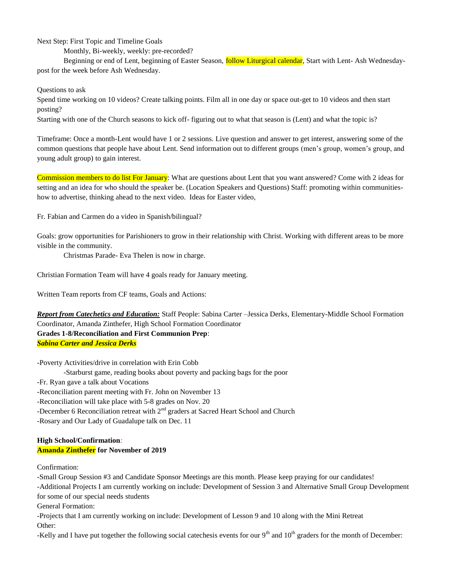Next Step: First Topic and Timeline Goals

Monthly, Bi-weekly, weekly: pre-recorded?

Beginning or end of Lent, beginning of Easter Season, **follow Liturgical calendar**, Start with Lent- Ash Wednesdaypost for the week before Ash Wednesday.

Questions to ask

Spend time working on 10 videos? Create talking points. Film all in one day or space out-get to 10 videos and then start posting?

Starting with one of the Church seasons to kick off- figuring out to what that season is (Lent) and what the topic is?

Timeframe: Once a month-Lent would have 1 or 2 sessions. Live question and answer to get interest, answering some of the common questions that people have about Lent. Send information out to different groups (men's group, women's group, and young adult group) to gain interest.

Commission members to do list For January: What are questions about Lent that you want answered? Come with 2 ideas for setting and an idea for who should the speaker be. (Location Speakers and Questions) Staff: promoting within communitieshow to advertise, thinking ahead to the next video. Ideas for Easter video,

Fr. Fabian and Carmen do a video in Spanish/bilingual?

Goals: grow opportunities for Parishioners to grow in their relationship with Christ. Working with different areas to be more visible in the community.

Christmas Parade- Eva Thelen is now in charge.

Christian Formation Team will have 4 goals ready for January meeting.

Written Team reports from CF teams, Goals and Actions:

*Report from Catechetics and Education:* Staff People: Sabina Carter –Jessica Derks, Elementary-Middle School Formation Coordinator, Amanda Zinthefer, High School Formation Coordinator **Grades 1-8/Reconciliation and First Communion Prep**: *Sabina Carter and Jessica Derks*

-Poverty Activities/drive in correlation with Erin Cobb -Starburst game, reading books about poverty and packing bags for the poor -Fr. Ryan gave a talk about Vocations -Reconciliation parent meeting with Fr. John on November 13 -Reconciliation will take place with 5-8 grades on Nov. 20 -December 6 Reconciliation retreat with  $2<sup>nd</sup>$  graders at Sacred Heart School and Church -Rosary and Our Lady of Guadalupe talk on Dec. 11

### **High School/Confirmation***:* **Amanda Zinthefer for November of 2019**

Confirmation:

-Small Group Session #3 and Candidate Sponsor Meetings are this month. Please keep praying for our candidates!

-Additional Projects I am currently working on include: Development of Session 3 and Alternative Small Group Development for some of our special needs students

General Formation:

-Projects that I am currently working on include: Development of Lesson 9 and 10 along with the Mini Retreat Other:

-Kelly and I have put together the following social catechesis events for our  $9<sup>th</sup>$  and  $10<sup>th</sup>$  graders for the month of December: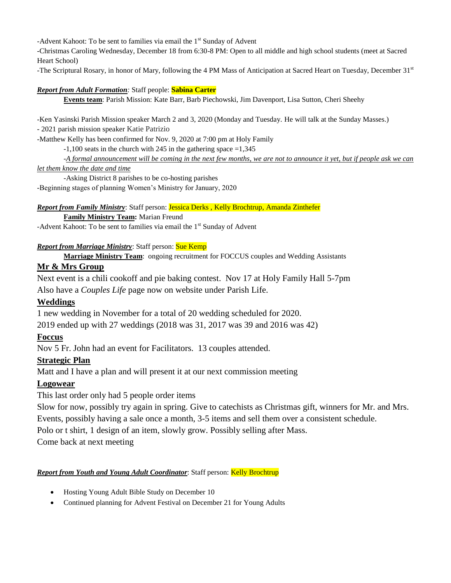-Advent Kahoot: To be sent to families via email the  $1<sup>st</sup>$  Sunday of Advent

-Christmas Caroling Wednesday, December 18 from 6:30-8 PM: Open to all middle and high school students (meet at Sacred Heart School)

-The Scriptural Rosary, in honor of Mary, following the 4 PM Mass of Anticipation at Sacred Heart on Tuesday, December 31st

### *Report from Adult Formation:* Staff people: **Sabina Carter**

**Events team**: Parish Mission: Kate Barr, Barb Piechowski, Jim Davenport, Lisa Sutton, Cheri Sheehy

-Ken Yasinski Parish Mission speaker March 2 and 3, 2020 (Monday and Tuesday. He will talk at the Sunday Masses.) - 2021 parish mission speaker Katie Patrizio

-Matthew Kelly has been confirmed for Nov. 9, 2020 at 7:00 pm at Holy Family

 $-1,100$  seats in the church with 245 in the gathering space  $=1,345$ 

-*A formal announcement will be coming in the next few months, we are not to announce it yet, but if people ask we can* 

### *let them know the date and time*

-Asking District 8 parishes to be co-hosting parishes -Beginning stages of planning Women's Ministry for January, 2020

## *Report from Family Ministry*: Staff person: Jessica Derks , Kelly Brochtrup, Amanda Zinthefer

**Family Ministry Team:** Marian Freund

-Advent Kahoot: To be sent to families via email the 1<sup>st</sup> Sunday of Advent

## *Report from Marriage Ministry*: Staff person: Sue Kemp

**Marriage Ministry Team**: ongoing recruitment for FOCCUS couples and Wedding Assistants

## **Mr & Mrs Group**

Next event is a chili cookoff and pie baking contest. Nov 17 at Holy Family Hall 5-7pm

Also have a *Couples Life* page now on website under Parish Life.

# **Weddings**

1 new wedding in November for a total of 20 wedding scheduled for 2020.

2019 ended up with 27 weddings (2018 was 31, 2017 was 39 and 2016 was 42)

# **Foccus**

Nov 5 Fr. John had an event for Facilitators. 13 couples attended.

# **Strategic Plan**

Matt and I have a plan and will present it at our next commission meeting

# **Logowear**

This last order only had 5 people order items

Slow for now, possibly try again in spring. Give to catechists as Christmas gift, winners for Mr. and Mrs.

Events, possibly having a sale once a month, 3-5 items and sell them over a consistent schedule.

Polo or t shirt, 1 design of an item, slowly grow. Possibly selling after Mass.

Come back at next meeting

## **Report from Youth and Young Adult Coordinator:** Staff person: **Kelly Brochtrup**

- Hosting Young Adult Bible Study on December 10
- Continued planning for Advent Festival on December 21 for Young Adults